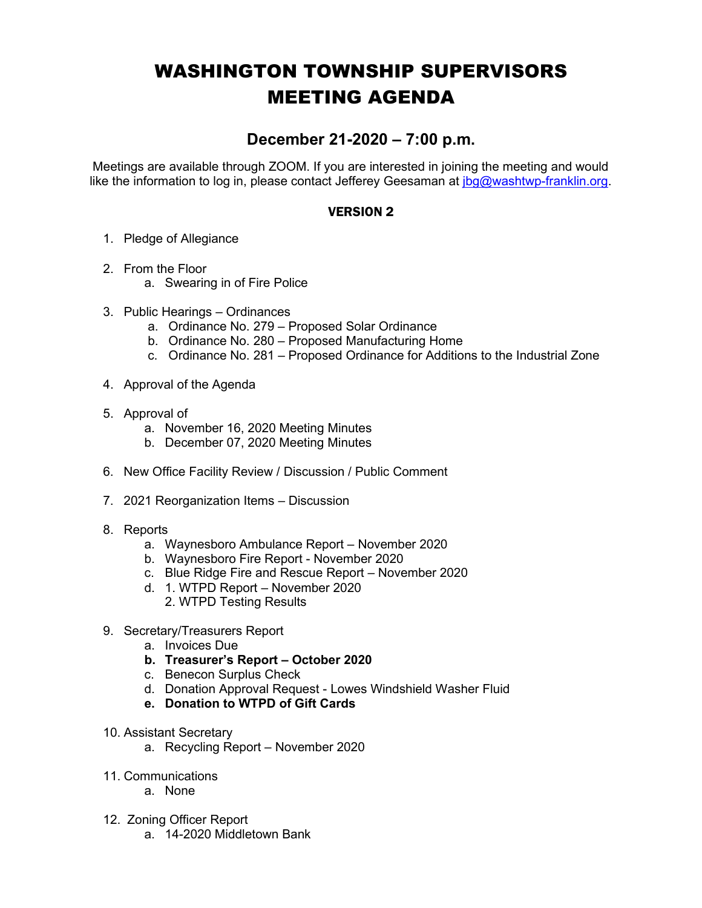## WASHINGTON TOWNSHIP SUPERVISORS MEETING AGENDA

## **December 21-2020 – 7:00 p.m.**

Meetings are available through ZOOM. If you are interested in joining the meeting and would like the information to log in, please contact Jefferey Geesaman at  $\log\omega$  washtwp-franklin.org.

## VERSION 2

- 1. Pledge of Allegiance
- 2. From the Floor
	- a. Swearing in of Fire Police
- 3. Public Hearings Ordinances
	- a. Ordinance No. 279 Proposed Solar Ordinance
	- b. Ordinance No. 280 Proposed Manufacturing Home
	- c. Ordinance No. 281 Proposed Ordinance for Additions to the Industrial Zone
- 4. Approval of the Agenda
- 5. Approval of
	- a. November 16, 2020 Meeting Minutes
	- b. December 07, 2020 Meeting Minutes
- 6. New Office Facility Review / Discussion / Public Comment
- 7. 2021 Reorganization Items Discussion
- 8. Reports
	- a. Waynesboro Ambulance Report November 2020
	- b. Waynesboro Fire Report November 2020
	- c. Blue Ridge Fire and Rescue Report November 2020
	- d. 1. WTPD Report November 2020
		- 2. WTPD Testing Results
- 9. Secretary/Treasurers Report
	- a. Invoices Due
	- **b. Treasurer's Report – October 2020**
	- c. Benecon Surplus Check
	- d. Donation Approval Request Lowes Windshield Washer Fluid
	- **e. Donation to WTPD of Gift Cards**
- 10. Assistant Secretary
	- a. Recycling Report November 2020
- 11. Communications
	- a. None
- 12. Zoning Officer Report
	- a. 14-2020 Middletown Bank